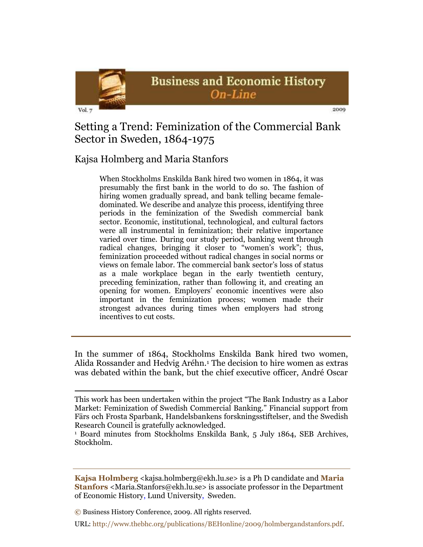

# Setting a Trend: Feminization of the Commercial Bank Sector in Sweden, 1864-1975

## Kajsa Holmberg and Maria Stanfors

When Stockholms Enskilda Bank hired two women in 1864, it was presumably the first bank in the world to do so. The fashion of hiring women gradually spread, and bank telling became femaledominated. We describe and analyze this process, identifying three periods in the feminization of the Swedish commercial bank sector. Economic, institutional, technological, and cultural factors were all instrumental in feminization; their relative importance varied over time. During our study period, banking went through radical changes, bringing it closer to "women's work"; thus, feminization proceeded without radical changes in social norms or views on female labor. The commercial bank sector's loss of status as a male workplace began in the early twentieth century, preceding feminization, rather than following it, and creating an opening for women. Employers' economic incentives were also important in the feminization process; women made their strongest advances during times when employers had strong incentives to cut costs.

In the summer of 1864, Stockholms Enskilda Bank hired two women, Alida Rossander and Hedvig Aréhn.<sup>1</sup> The decision to hire women as extras was debated within the bank, but the chief executive officer, André Oscar

This work has been undertaken within the project "The Bank Industry as a Labor" Market: Feminization of Swedish Commercial Banking." Financial support from Färs och Frosta Sparbank, Handelsbankens forskningsstiftelser, and the Swedish Research Council is gratefully acknowledged.

<sup>1</sup> Board minutes from Stockholms Enskilda Bank, 5 July 1864, SEB Archives, Stockholm.

**Kajsa Holmberg** <kajsa.holmberg@ekh.lu.se> is a Ph D candidate and **Maria Stanfors** <Maria.Stanfors@ekh.lu.se> is associate professor in the Department of Economic History, Lund University, Sweden.

**<sup>©</sup>** Business History Conference, 2009. All rights reserved.

URL: http://www.thebhc.org/publications/BEHonline/2009/holmbergandstanfors.pdf.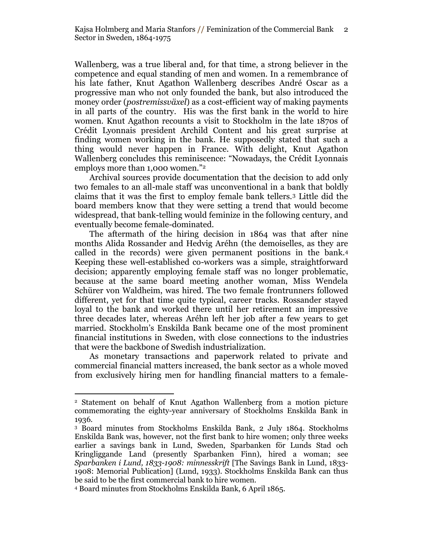Wallenberg, was a true liberal and, for that time, a strong believer in the competence and equal standing of men and women. In a remembrance of his late father, Knut Agathon Wallenberg describes André Oscar as a progressive man who not only founded the bank, but also introduced the money order (*postremissväxel*) as a cost-efficient way of making payments in all parts of the country. His was the first bank in the world to hire women. Knut Agathon recounts a visit to Stockholm in the late 1870s of Crédit Lyonnais president Archild Content and his great surprise at finding women working in the bank. He supposedly stated that such a thing would never happen in France. With delight, Knut Agathon Wallenberg concludes this reminiscence: "Nowadays, the Crédit Lyonnais employs more than  $1,000$  women."<sup>2</sup>

Archival sources provide documentation that the decision to add only two females to an all-male staff was unconventional in a bank that boldly claims that it was the first to employ female bank tellers.<sup>3</sup> Little did the board members know that they were setting a trend that would become widespread, that bank-telling would feminize in the following century, and eventually become female-dominated.

The aftermath of the hiring decision in 1864 was that after nine months Alida Rossander and Hedvig Aréhn (the demoiselles, as they are called in the records) were given permanent positions in the bank.<sup>4</sup> Keeping these well-established co-workers was a simple, straightforward decision; apparently employing female staff was no longer problematic, because at the same board meeting another woman, Miss Wendela Schürer von Waldheim, was hired. The two female frontrunners followed different, yet for that time quite typical, career tracks. Rossander stayed loyal to the bank and worked there until her retirement an impressive three decades later, whereas Aréhn left her job after a few years to get married. Stockholm's Enskilda Bank became one of the most prominent financial institutions in Sweden, with close connections to the industries that were the backbone of Swedish industrialization.

As monetary transactions and paperwork related to private and commercial financial matters increased, the bank sector as a whole moved from exclusively hiring men for handling financial matters to a female-

<sup>2</sup> Statement on behalf of Knut Agathon Wallenberg from a motion picture commemorating the eighty-year anniversary of Stockholms Enskilda Bank in 1936*.*

<sup>3</sup> Board minutes from Stockholms Enskilda Bank, 2 July 1864. Stockholms Enskilda Bank was, however, not the first bank to hire women; only three weeks earlier a savings bank in Lund, Sweden, Sparbanken för Lunds Stad och Kringliggande Land (presently Sparbanken Finn), hired a woman; see *Sparbanken i Lund, 1833-1908: minnesskrift* [The Savings Bank in Lund, 1833- 1908: Memorial Publication] (Lund, 1933)*.* Stockholms Enskilda Bank can thus be said to be the first commercial bank to hire women.

<sup>4</sup> Board minutes from Stockholms Enskilda Bank, 6 April 1865.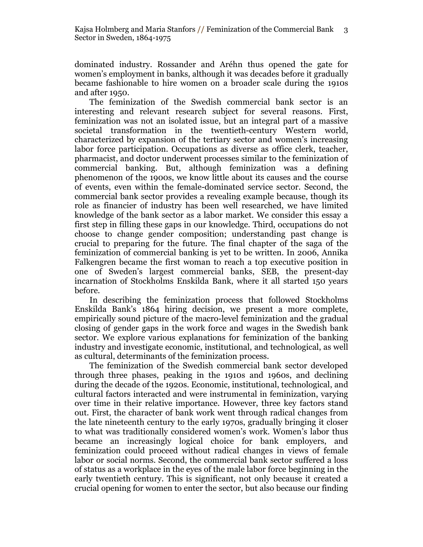dominated industry. Rossander and Aréhn thus opened the gate for women's employment in banks, although it was decades before it gradually became fashionable to hire women on a broader scale during the 1910s and after 1950.

The feminization of the Swedish commercial bank sector is an interesting and relevant research subject for several reasons. First, feminization was not an isolated issue, but an integral part of a massive societal transformation in the twentieth-century Western world, characterized by expansion of the tertiary sector and women's increasing labor force participation. Occupations as diverse as office clerk, teacher, pharmacist, and doctor underwent processes similar to the feminization of commercial banking. But, although feminization was a defining phenomenon of the 1900s, we know little about its causes and the course of events, even within the female-dominated service sector. Second, the commercial bank sector provides a revealing example because, though its role as financier of industry has been well researched, we have limited knowledge of the bank sector as a labor market. We consider this essay a first step in filling these gaps in our knowledge. Third, occupations do not choose to change gender composition; understanding past change is crucial to preparing for the future. The final chapter of the saga of the feminization of commercial banking is yet to be written. In 2006, Annika Falkengren became the first woman to reach a top executive position in one of Sweden's largest commercial banks, SEB, the present-day incarnation of Stockholms Enskilda Bank, where it all started 150 years before.

In describing the feminization process that followed Stockholms Enskilda Bank's 1864 hiring decision, we present a more complete, empirically sound picture of the macro-level feminization and the gradual closing of gender gaps in the work force and wages in the Swedish bank sector. We explore various explanations for feminization of the banking industry and investigate economic, institutional, and technological, as well as cultural, determinants of the feminization process.

The feminization of the Swedish commercial bank sector developed through three phases, peaking in the 1910s and 1960s, and declining during the decade of the 1920s. Economic, institutional, technological, and cultural factors interacted and were instrumental in feminization, varying over time in their relative importance. However, three key factors stand out. First, the character of bank work went through radical changes from the late nineteenth century to the early 1970s, gradually bringing it closer to what was traditionally considered women's work. Women's labor thus became an increasingly logical choice for bank employers, and feminization could proceed without radical changes in views of female labor or social norms. Second, the commercial bank sector suffered a loss of status as a workplace in the eyes of the male labor force beginning in the early twentieth century. This is significant, not only because it created a crucial opening for women to enter the sector, but also because our finding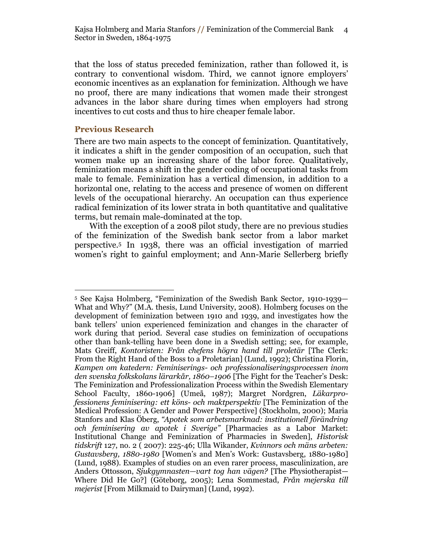that the loss of status preceded feminization, rather than followed it, is contrary to conventional wisdom. Third, we cannot ignore employers' economic incentives as an explanation for feminization. Although we have no proof, there are many indications that women made their strongest advances in the labor share during times when employers had strong incentives to cut costs and thus to hire cheaper female labor.

#### **Previous Research**

 $\overline{a}$ 

There are two main aspects to the concept of feminization. Quantitatively, it indicates a shift in the gender composition of an occupation, such that women make up an increasing share of the labor force. Qualitatively, feminization means a shift in the gender coding of occupational tasks from male to female. Feminization has a vertical dimension, in addition to a horizontal one, relating to the access and presence of women on different levels of the occupational hierarchy. An occupation can thus experience radical feminization of its lower strata in both quantitative and qualitative terms, but remain male-dominated at the top.

With the exception of a 2008 pilot study, there are no previous studies of the feminization of the Swedish bank sector from a labor market perspective.<sup>5</sup> In 1938, there was an official investigation of married women's right to gainful employment; and Ann-Marie Sellerberg briefly

<sup>5</sup> See Kajsa Holmberg, "Feminization of the Swedish Bank Sector, 1910-1939-What and Why?" (M.A. thesis, Lund University, 2008). Holmberg focuses on the development of feminization between 1910 and 1939, and investigates how the bank tellers' union experienced feminization and changes in the character of work during that period. Several case studies on feminization of occupations other than bank-telling have been done in a Swedish setting; see, for example, Mats Greiff, *Kontoristen: Från chefens högra hand till proletär* [The Clerk: From the Right Hand of the Boss to a Proletarian] (Lund, 1992); Christina Florin, *Kampen om katedern: Feminiserings- och professionaliseringsprocessen inom den svenska folkskolans lärarkår, 1860–1906* [The Fight for the Teacher's Desk: The Feminization and Professionalization Process within the Swedish Elementary School Faculty, 1860-1906] (Umeå, 1987); Margret Nordgren, *Läkarprofessionens feminisering: ett köns- och maktperspektiv* [The Feminization of the Medical Profession: A Gender and Power Perspective] (Stockholm, 2000); Maria Stanfors and Klas Öberg, *―Apotek som arbetsmarknad: institutionell förändring och feminisering av apotek i Sverige‖* [Pharmacies as a Labor Market: Institutional Change and Feminization of Pharmacies in Sweden], *Historisk tidskrift* 127, no. 2 ( 2007): 225-46; Ulla Wikander, *Kvinnors och mäns arbeten: Gustavsberg, 1880-1980* [Women's and Men's Work: Gustavsberg, 1880-1980] (Lund, 1988). Examples of studies on an even rarer process, masculinization, are Anders Ottosson, *Sjukgymnasten—vart tog han vägen?* [The Physiotherapist— Where Did He Go?] (Göteborg, 2005); Lena Sommestad, *Från mejerska till mejerist* [From Milkmaid to Dairyman] (Lund, 1992).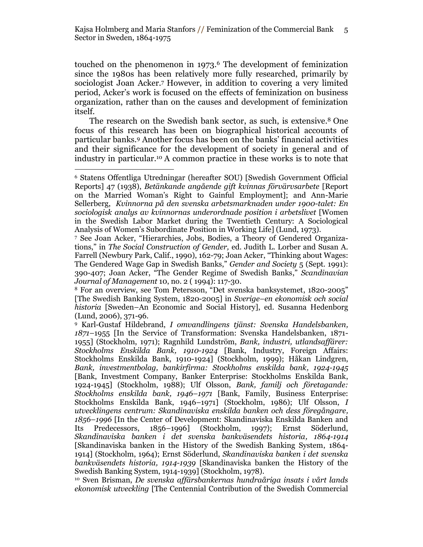touched on the phenomenon in 1973. <sup>6</sup> The development of feminization since the 1980s has been relatively more fully researched, primarily by sociologist Joan Acker.<sup>7</sup> However, in addition to covering a very limited period, Acker's work is focused on the effects of feminization on business organization, rather than on the causes and development of feminization itself.

The research on the Swedish bank sector, as such, is extensive. <sup>8</sup> One focus of this research has been on biographical historical accounts of particular banks. <sup>9</sup> Another focus has been on the banks' financial activities and their significance for the development of society in general and of industry in particular.<sup>10</sup> A common practice in these works is to note that

<sup>7</sup> See Joan Acker, "Hierarchies, Jobs, Bodies, a Theory of Gendered Organizations," in *The Social Construction of Gender*, ed. Judith L. Lorber and Susan A. Farrell (Newbury Park, Calif., 1990), 162-79; Joan Acker, "Thinking about Wages: The Gendered Wage Gap in Swedish Banks,‖ *Gender and Society* 5 (Sept. 1991): 390-407; Joan Acker, "The Gender Regime of Swedish Banks," Scandinavian *Journal of Management* 10, no. 2 ( 1994): 117-30.

<sup>8</sup> For an overview, see Tom Petersson, "Det svenska banksystemet, 1820-2005" [The Swedish Banking System, 1820-2005] in *Sverige–en ekonomisk och social historia* [Sweden–An Economic and Social History], ed. Susanna Hedenborg (Lund, 2006), 371-96.

<sup>9</sup> Karl-Gustaf Hildebrand, *I omvandlingens tjänst: Svenska Handelsbanken, 1871–*1955 [In the Service of Transformation: Svenska Handelsbanken, 1871- 1955] (Stockholm, 1971); Ragnhild Lundström, *Bank, industri, utlandsaffärer: Stockholms Enskilda Bank, 1910-1924* [Bank, Industry, Foreign Affairs: Stockholms Enskilda Bank, 1910-1924] (Stockholm, 1999); Håkan Lindgren, *Bank, investmentbolag, bankirfirma: Stockholms enskilda bank, 1924-1945*  [Bank, Investment Company, Banker Enterprise: Stockholms Enskilda Bank, 1924-1945] (Stockholm, 1988); Ulf Olsson, *Bank, familj och företagande: Stockholms enskilda bank, 1946–1971* [Bank, Family, Business Enterprise: Stockholms Enskilda Bank, 1946–1971] (Stockholm, 1986); Ulf Olsson, *I utvecklingens centrum: Skandinaviska enskilda banken och dess föregångare, 1856–1996* [In the Center of Development: Skandinaviska Enskilda Banken and Its Predecessors, 1856–1996] (Stockholm, 1997); Ernst Söderlund, *Skandinaviska banken i det svenska bankväsendets historia, 1864-1914*  [Skandinaviska banken in the History of the Swedish Banking System, 1864- 1914] (Stockholm, 1964); Ernst Söderlund, *Skandinaviska banken i det svenska bankväsendets historia, 1914-1939* [Skandinaviska banken the History of the Swedish Banking System, 1914-1939] (Stockholm, 1978).

<sup>10</sup> Sven Brisman, *De svenska affärsbankernas hundraåriga insats i vårt lands ekonomisk utveckling* [The Centennial Contribution of the Swedish Commercial

 $\overline{a}$ <sup>6</sup> Statens Offentliga Utredningar (hereafter SOU) [Swedish Government Official Reports] 47 (1938), *Betänkande angående gift kvinnas förvärvsarbete* [Report on the Married Woman's Right to Gainful Employment]; and Ann-Marie Sellerberg, *Kvinnorna på den svenska arbetsmarknaden under 1900-talet: En sociologisk analys av kvinnornas underordnade position i arbetslivet* [Women in the Swedish Labor Market during the Twentieth Century: A Sociological Analysis of Women's Subordinate Position in Working Life] (Lund, 1973).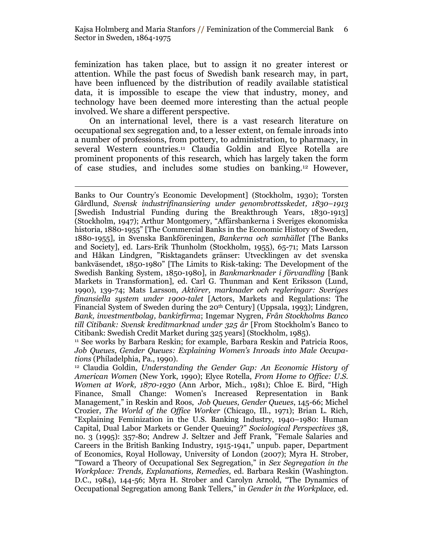feminization has taken place, but to assign it no greater interest or attention. While the past focus of Swedish bank research may, in part, have been influenced by the distribution of readily available statistical data, it is impossible to escape the view that industry, money, and technology have been deemed more interesting than the actual people involved. We share a different perspective.

On an international level, there is a vast research literature on occupational sex segregation and, to a lesser extent, on female inroads into a number of professions, from pottery, to administration, to pharmacy, in several Western countries.<sup>11</sup> Claudia Goldin and Elyce Rotella are prominent proponents of this research, which has largely taken the form of case studies, and includes some studies on banking.<sup>12</sup> However,

Banks to Our Country's Economic Development] (Stockholm, 1930); Torsten Gårdlund, *Svensk industrifinansiering under genombrottsskedet, 1830–1913* [Swedish Industrial Funding during the Breakthrough Years, 1830-1913] (Stockholm, 1947); Arthur Montgomery, "Affärsbankerna i Sveriges ekonomiska historia, 1880-1955" [The Commercial Banks in the Economic History of Sweden, 1880-1955], in Svenska Bankföreningen, *Bankerna och samhället* [The Banks and Society], ed. Lars-Erik Thunholm (Stockholm, 1955), 65-71; Mats Larsson and Håkan Lindgren, "Risktagandets gränser: Utvecklingen av det svenska bankväsendet, 1850-1980‖ [The Limits to Risk-taking: The Development of the Swedish Banking System, 1850-1980], in *Bankmarknader i förvandling* [Bank Markets in Transformation], ed. Carl G. Thunman and Kent Eriksson (Lund, 1990), 139-74; Mats Larsson, *Aktörer, marknader och regleringar: Sveriges finansiella system under 1900-talet* [Actors, Markets and Regulations: The Financial System of Sweden during the 20th Century] (Uppsala, 1993); Lindgren, *Bank, investmentbolag, bankirfirma*; Ingemar Nygren, *Från Stockholms Banco till Citibank: Svensk kreditmarknad under 325 år* [From Stockholm's Banco to Citibank: Swedish Credit Market during 325 years] (Stockholm, 1985).

<sup>11</sup> See works by Barbara Reskin; for example, Barbara Reskin and Patricia Roos, *Job Queues, Gender Queues: Explaining Women's Inroads into Male Occupations* (Philadelphia, Pa., 1990).

<sup>12</sup> Claudia Goldin, *Understanding the Gender Gap: An Economic History of American Women* (New York, 1990); Elyce Rotella, *From Home to Office: U.S. Women at Work, 1870-1930* (Ann Arbor, Mich., 1981); Chloe E. Bird, "High Finance, Small Change: Women's Increased Representation in Bank Management,‖ in Reskin and Roos, *Job Queues, Gender Queues*, 145-66; Michel Crozier, *The World of the Office Worker* (Chicago, Ill., 1971); Brian L. Rich, ―Explaining Feminization in the U.S. Banking Industry, 1940–1980: Human Capital, Dual Labor Markets or Gender Queuing?‖ *Sociological Perspectives* 38, no. 3 (1995): 357-80; Andrew J. Seltzer and Jeff Frank, "Female Salaries and Careers in the British Banking Industry, 1915-1941," unpub. paper, Department of Economics, Royal Holloway, University of London (2007); Myra H. Strober, ‖Toward a Theory of Occupational Sex Segregation,‖ in *Sex Segregation in the Workplace: Trends, Explanations, Remedies,* ed. Barbara Reskin (Washington. D.C., 1984), 144-56; Myra H. Strober and Carolyn Arnold, "The Dynamics of Occupational Segregation among Bank Tellers," in *Gender in the Workplace*, ed.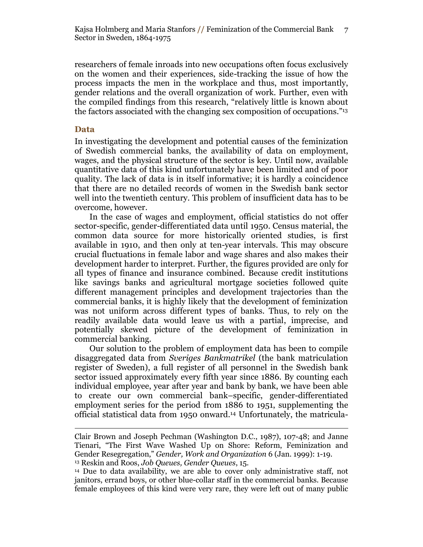researchers of female inroads into new occupations often focus exclusively on the women and their experiences, side-tracking the issue of how the process impacts the men in the workplace and thus, most importantly, gender relations and the overall organization of work. Further, even with the compiled findings from this research, "relatively little is known about the factors associated with the changing sex composition of occupations."<sup>13</sup>

#### **Data**

 $\overline{a}$ 

In investigating the development and potential causes of the feminization of Swedish commercial banks, the availability of data on employment, wages, and the physical structure of the sector is key. Until now, available quantitative data of this kind unfortunately have been limited and of poor quality. The lack of data is in itself informative; it is hardly a coincidence that there are no detailed records of women in the Swedish bank sector well into the twentieth century. This problem of insufficient data has to be overcome, however.

In the case of wages and employment, official statistics do not offer sector-specific, gender-differentiated data until 1950. Census material, the common data source for more historically oriented studies, is first available in 1910, and then only at ten-year intervals. This may obscure crucial fluctuations in female labor and wage shares and also makes their development harder to interpret. Further, the figures provided are only for all types of finance and insurance combined. Because credit institutions like savings banks and agricultural mortgage societies followed quite different management principles and development trajectories than the commercial banks, it is highly likely that the development of feminization was not uniform across different types of banks. Thus, to rely on the readily available data would leave us with a partial, imprecise, and potentially skewed picture of the development of feminization in commercial banking.

Our solution to the problem of employment data has been to compile disaggregated data from *Sveriges Bankmatrikel* (the bank matriculation register of Sweden), a full register of all personnel in the Swedish bank sector issued approximately every fifth year since 1886. By counting each individual employee, year after year and bank by bank, we have been able to create our own commercial bank–specific, gender-differentiated employment series for the period from 1886 to 1951, supplementing the official statistical data from 1950 onward. <sup>14</sup> Unfortunately, the matricula-

Clair Brown and Joseph Pechman (Washington D.C., 1987), 107-48; and Janne Tienari, "The First Wave Washed Up on Shore: Reform, Feminization and Gender Resegregation,‖ *Gender, Work and Organization* 6 (Jan. 1999): 1-19. <sup>13</sup> Reskin and Roos, *Job Queues, Gender Queues*, 15.

<sup>14</sup> Due to data availability, we are able to cover only administrative staff, not janitors, errand boys, or other blue-collar staff in the commercial banks. Because female employees of this kind were very rare, they were left out of many public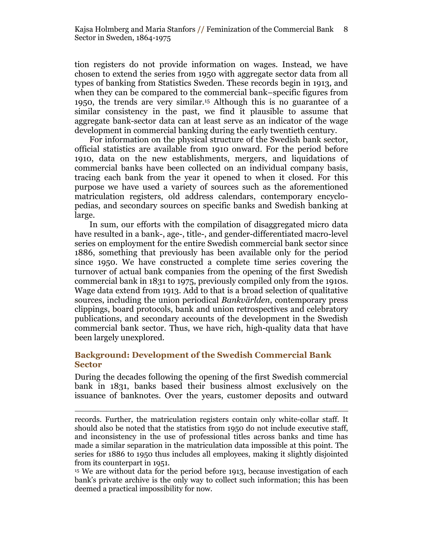tion registers do not provide information on wages. Instead, we have chosen to extend the series from 1950 with aggregate sector data from all types of banking from Statistics Sweden. These records begin in 1913, and when they can be compared to the commercial bank–specific figures from 1950, the trends are very similar.<sup>15</sup> Although this is no guarantee of a similar consistency in the past, we find it plausible to assume that aggregate bank-sector data can at least serve as an indicator of the wage development in commercial banking during the early twentieth century.

For information on the physical structure of the Swedish bank sector, official statistics are available from 1910 onward. For the period before 1910, data on the new establishments, mergers, and liquidations of commercial banks have been collected on an individual company basis, tracing each bank from the year it opened to when it closed. For this purpose we have used a variety of sources such as the aforementioned matriculation registers, old address calendars, contemporary encyclopedias, and secondary sources on specific banks and Swedish banking at large.

In sum, our efforts with the compilation of disaggregated micro data have resulted in a bank-, age-, title-, and gender-differentiated macro-level series on employment for the entire Swedish commercial bank sector since 1886, something that previously has been available only for the period since 1950. We have constructed a complete time series covering the turnover of actual bank companies from the opening of the first Swedish commercial bank in 1831 to 1975, previously compiled only from the 1910s. Wage data extend from 1913. Add to that is a broad selection of qualitative sources, including the union periodical *Bankvärlden*, contemporary press clippings, board protocols, bank and union retrospectives and celebratory publications, and secondary accounts of the development in the Swedish commercial bank sector. Thus, we have rich, high-quality data that have been largely unexplored.

## **Background: Development of the Swedish Commercial Bank Sector**

 $\overline{a}$ 

During the decades following the opening of the first Swedish commercial bank in 1831, banks based their business almost exclusively on the issuance of banknotes. Over the years, customer deposits and outward

records. Further, the matriculation registers contain only white-collar staff. It should also be noted that the statistics from 1950 do not include executive staff, and inconsistency in the use of professional titles across banks and time has made a similar separation in the matriculation data impossible at this point. The series for 1886 to 1950 thus includes all employees, making it slightly disjointed from its counterpart in 1951.

<sup>&</sup>lt;sup>15</sup> We are without data for the period before 1913, because investigation of each bank's private archive is the only way to collect such information; this has been deemed a practical impossibility for now.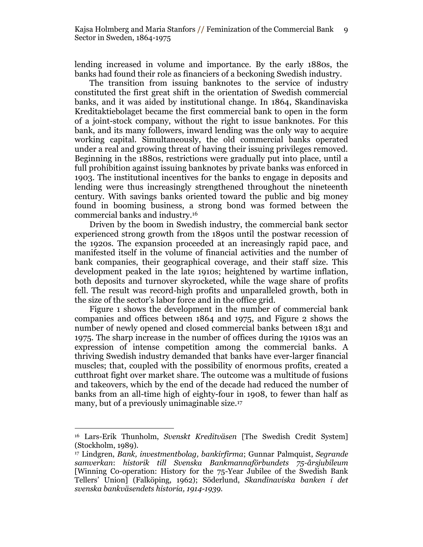lending increased in volume and importance. By the early 1880s, the banks had found their role as financiers of a beckoning Swedish industry.

The transition from issuing banknotes to the service of industry constituted the first great shift in the orientation of Swedish commercial banks, and it was aided by institutional change. In 1864, Skandinaviska Kreditaktiebolaget became the first commercial bank to open in the form of a joint-stock company, without the right to issue banknotes. For this bank, and its many followers, inward lending was the only way to acquire working capital. Simultaneously, the old commercial banks operated under a real and growing threat of having their issuing privileges removed. Beginning in the 1880s, restrictions were gradually put into place, until a full prohibition against issuing banknotes by private banks was enforced in 1903. The institutional incentives for the banks to engage in deposits and lending were thus increasingly strengthened throughout the nineteenth century. With savings banks oriented toward the public and big money found in booming business, a strong bond was formed between the commercial banks and industry.<sup>16</sup>

Driven by the boom in Swedish industry, the commercial bank sector experienced strong growth from the 1890s until the postwar recession of the 1920s. The expansion proceeded at an increasingly rapid pace, and manifested itself in the volume of financial activities and the number of bank companies, their geographical coverage, and their staff size. This development peaked in the late 1910s; heightened by wartime inflation, both deposits and turnover skyrocketed, while the wage share of profits fell. The result was record-high profits and unparalleled growth, both in the size of the sector's labor force and in the office grid.

Figure 1 shows the development in the number of commercial bank companies and offices between 1864 and 1975, and Figure 2 shows the number of newly opened and closed commercial banks between 1831 and 1975. The sharp increase in the number of offices during the 1910s was an expression of intense competition among the commercial banks. A thriving Swedish industry demanded that banks have ever-larger financial muscles; that, coupled with the possibility of enormous profits, created a cutthroat fight over market share. The outcome was a multitude of fusions and takeovers, which by the end of the decade had reduced the number of banks from an all-time high of eighty-four in 1908, to fewer than half as many, but of a previously unimaginable size.<sup>17</sup>

<sup>16</sup> Lars-Erik Thunholm, *Svenskt Kreditväsen* [The Swedish Credit System] (Stockholm, 1989).

<sup>17</sup> Lindgren, *Bank, investmentbolag, bankirfirma*; Gunnar Palmquist, *Segrande samverkan*: *historik till Svenska Bankmannaförbundets 75-årsjubileum*  [Winning Co-operation: History for the 75-Year Jubilee of the Swedish Bank Tellers' Union] (Falköping, 1962); Söderlund, *Skandinaviska banken i det svenska bankväsendets historia, 1914-1939*.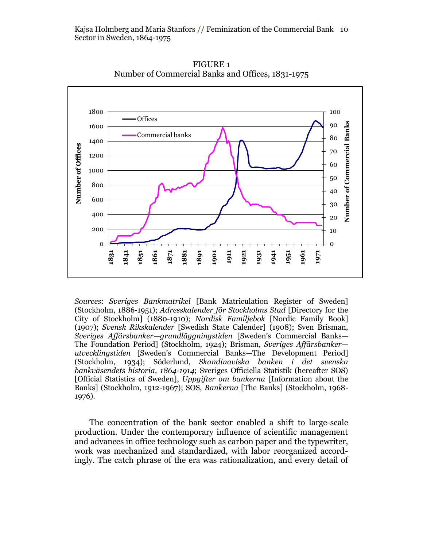

FIGURE 1 Number of Commercial Banks and Offices, 1831-1975

*Sources*: *Sveriges Bankmatrikel* [Bank Matriculation Register of Sweden] (Stockholm, 1886-1951); *Adresskalender för Stockholms Stad* [Directory for the City of Stockholm] (1880-1910); *Nordisk Familjebok* [Nordic Family Book] (1907); *Svensk Rikskalender* [Swedish State Calender] (1908); Sven Brisman, *Sveriges Affärsbanker—grundläggningstiden* [Sweden's Commercial Banks— The Foundation Period] (Stockholm, 1924); Brisman, *Sveriges Affärsbanker utvecklingstiden* [Sweden's Commercial Banks*—*The Development Period] (Stockholm, 1934); Söderlund, *Skandinaviska banken i det svenska bankväsendets historia, 1864-1914*; Sveriges Officiella Statistik (hereafter SOS) [Official Statistics of Sweden], *Uppgifter om bankerna* [Information about the Banks] (Stockholm, 1912-1967); SOS, *Bankerna* [The Banks] (Stockholm, 1968- 1976).

The concentration of the bank sector enabled a shift to large-scale production. Under the contemporary influence of scientific management and advances in office technology such as carbon paper and the typewriter, work was mechanized and standardized, with labor reorganized accordingly. The catch phrase of the era was rationalization, and every detail of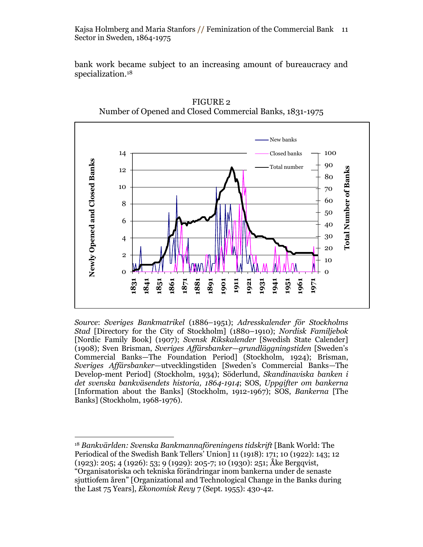Kajsa Holmberg and Maria Stanfors **//** Feminization of the Commercial Bank 11 Sector in Sweden, 1864-1975

bank work became subject to an increasing amount of bureaucracy and specialization.<sup>18</sup>



FIGURE 2 Number of Opened and Closed Commercial Banks, 1831-1975

*Source*: *Sveriges Bankmatrikel* (1886–1951); *Adresskalender för Stockholms Stad* [Directory for the City of Stockholm] (1880–1910); *Nordisk Familjebok*  [Nordic Family Book] (1907); *Svensk Rikskalender* [Swedish State Calender] (1908); Sven Brisman, *Sveriges Affärsbanker—grundläggningstiden* [Sweden's Commercial Banks—The Foundation Period] (Stockholm, 1924); Brisman, *Sveriges Affärsbanker—*utvecklingstiden [Sweden's Commercial Banks*—*The Develop-ment Period] (Stockholm, 1934); Söderlund, *Skandinaviska banken i det svenska bankväsendets historia, 1864-1914*; SOS, *Uppgifter om bankerna*  [Information about the Banks] (Stockholm, 1912-1967); SOS, *Bankerna* [The Banks] (Stockholm, 1968-1976).

 $\overline{a}$ <sup>18</sup> *Bankvärlden: Svenska Bankmannaföreningens tidskrift* [Bank World: The Periodical of the Swedish Bank Tellers' Union] 11 (1918): 171; 10 (1922): 143; 12 (1923): 205; 4 (1926): 53; 9 (1929): 205-7; 10 (1930): 251; Åke Bergqvist,

―Organisatoriska och tekniska förändringar inom bankerna under de senaste sjuttiofem åren‖ [Organizational and Technological Change in the Banks during the Last 75 Years], *Ekonomisk Revy* 7 (Sept. 1955): 430-42.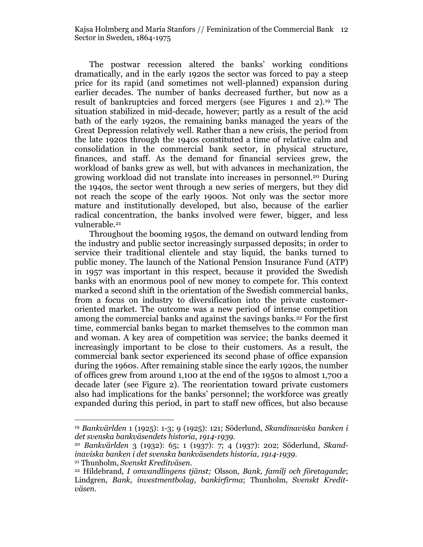The postwar recession altered the banks' working conditions dramatically, and in the early 1920s the sector was forced to pay a steep price for its rapid (and sometimes not well-planned) expansion during earlier decades. The number of banks decreased further, but now as a result of bankruptcies and forced mergers (see Figures 1 and 2). <sup>19</sup> The situation stabilized in mid-decade, however; partly as a result of the acid bath of the early 1920s, the remaining banks managed the years of the Great Depression relatively well. Rather than a new crisis, the period from the late 1920s through the 1940s constituted a time of relative calm and consolidation in the commercial bank sector, in physical structure, finances, and staff. As the demand for financial services grew, the workload of banks grew as well, but with advances in mechanization, the growing workload did not translate into increases in personnel.<sup>20</sup> During the 1940s, the sector went through a new series of mergers, but they did not reach the scope of the early 1900s. Not only was the sector more mature and institutionally developed, but also, because of the earlier radical concentration, the banks involved were fewer, bigger, and less vulnerable.<sup>21</sup>

Throughout the booming 1950s, the demand on outward lending from the industry and public sector increasingly surpassed deposits; in order to service their traditional clientele and stay liquid, the banks turned to public money. The launch of the National Pension Insurance Fund (ATP) in 1957 was important in this respect, because it provided the Swedish banks with an enormous pool of new money to compete for. This context marked a second shift in the orientation of the Swedish commercial banks, from a focus on industry to diversification into the private customeroriented market. The outcome was a new period of intense competition among the commercial banks and against the savings banks.<sup>22</sup> For the first time, commercial banks began to market themselves to the common man and woman. A key area of competition was service; the banks deemed it increasingly important to be close to their customers. As a result, the commercial bank sector experienced its second phase of office expansion during the 1960s. After remaining stable since the early 1920s, the number of offices grew from around 1,100 at the end of the 1950s to almost 1,700 a decade later (see Figure 2). The reorientation toward private customers also had implications for the banks' personnel; the workforce was greatly expanded during this period, in part to staff new offices, but also because

<sup>19</sup> *Bankvärlden* 1 (1925): 1-3; 9 (1925): 121; Söderlund, *Skandinaviska banken i det svenska bankväsendets historia, 1914-1939.*

<sup>20</sup> *Bankvärlden* 3 (1932): 65; 1 (1937): 7; 4 (1937): 202; Söderlund, *Skandinaviska banken i det svenska bankväsendets historia, 1914-1939*.

<sup>21</sup> Thunholm, *Svenskt Kreditväsen*.

<sup>22</sup> Hildebrand, *I omvandlingens tjänst;* Olsson, *Bank, familj och företagande*; Lindgren, *Bank, investmentbolag, bankirfirma*; Thunholm, *Svenskt Kreditväsen*.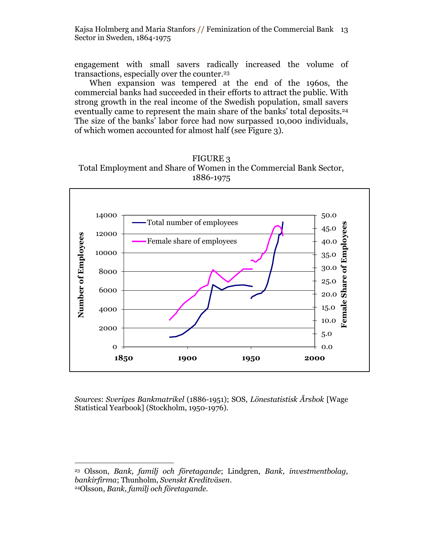Kajsa Holmberg and Maria Stanfors **//** Feminization of the Commercial Bank 13 Sector in Sweden, 1864-1975

engagement with small savers radically increased the volume of transactions, especially over the counter.<sup>23</sup>

When expansion was tempered at the end of the 1960s, the commercial banks had succeeded in their efforts to attract the public. With strong growth in the real income of the Swedish population, small savers eventually came to represent the main share of the banks' total deposits.<sup>24</sup> The size of the banks' labor force had now surpassed 10,000 individuals, of which women accounted for almost half (see Figure 3).





*Sources*: *Sveriges Bankmatrikel* (1886-1951); SOS, *Lönestatistisk Årsbok* [Wage Statistical Yearbook] (Stockholm, 1950-1976).

<sup>23</sup> Olsson, *Bank, familj och företagande*; Lindgren, *Bank, investmentbolag, bankirfirma*; Thunholm, *Svenskt Kreditväsen*. <sup>24</sup>Olsson, *Bank, familj och företagande.*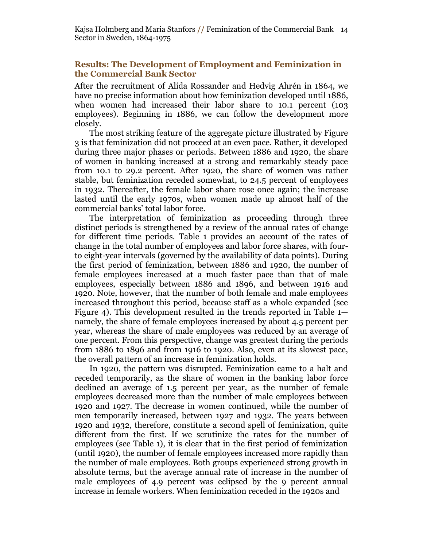Kajsa Holmberg and Maria Stanfors **//** Feminization of the Commercial Bank 14 Sector in Sweden, 1864-1975

### **Results: The Development of Employment and Feminization in the Commercial Bank Sector**

After the recruitment of Alida Rossander and Hedvig Ahrén in 1864, we have no precise information about how feminization developed until 1886, when women had increased their labor share to 10.1 percent (103 employees). Beginning in 1886, we can follow the development more closely.

The most striking feature of the aggregate picture illustrated by Figure 3 is that feminization did not proceed at an even pace. Rather, it developed during three major phases or periods. Between 1886 and 1920, the share of women in banking increased at a strong and remarkably steady pace from 10.1 to 29.2 percent. After 1920, the share of women was rather stable, but feminization receded somewhat, to 24.5 percent of employees in 1932. Thereafter, the female labor share rose once again; the increase lasted until the early 1970s, when women made up almost half of the commercial banks' total labor force.

The interpretation of feminization as proceeding through three distinct periods is strengthened by a review of the annual rates of change for different time periods. Table 1 provides an account of the rates of change in the total number of employees and labor force shares, with fourto eight-year intervals (governed by the availability of data points). During the first period of feminization, between 1886 and 1920, the number of female employees increased at a much faster pace than that of male employees, especially between 1886 and 1896, and between 1916 and 1920. Note, however, that the number of both female and male employees increased throughout this period, because staff as a whole expanded (see Figure 4). This development resulted in the trends reported in Table 1 namely, the share of female employees increased by about 4.5 percent per year, whereas the share of male employees was reduced by an average of one percent. From this perspective, change was greatest during the periods from 1886 to 1896 and from 1916 to 1920. Also, even at its slowest pace, the overall pattern of an increase in feminization holds.

In 1920, the pattern was disrupted. Feminization came to a halt and receded temporarily, as the share of women in the banking labor force declined an average of 1.5 percent per year, as the number of female employees decreased more than the number of male employees between 1920 and 1927. The decrease in women continued, while the number of men temporarily increased, between 1927 and 1932. The years between 1920 and 1932, therefore, constitute a second spell of feminization, quite different from the first. If we scrutinize the rates for the number of employees (see Table 1), it is clear that in the first period of feminization (until 1920), the number of female employees increased more rapidly than the number of male employees. Both groups experienced strong growth in absolute terms, but the average annual rate of increase in the number of male employees of 4.9 percent was eclipsed by the 9 percent annual increase in female workers. When feminization receded in the 1920s and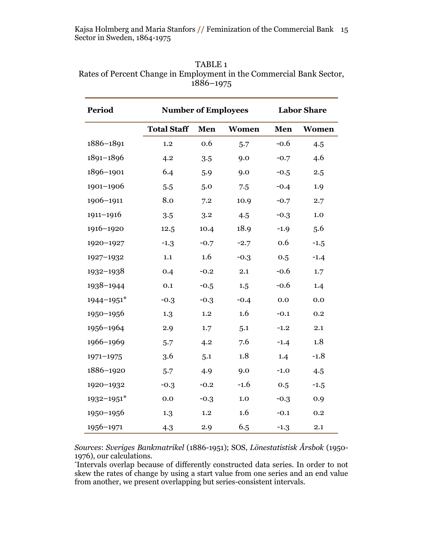| <b>Period</b>  | <b>Number of Employees</b> |        |         | <b>Labor Share</b> |        |
|----------------|----------------------------|--------|---------|--------------------|--------|
|                | <b>Total Staff</b>         | Men    | Women   | Men                | Women  |
| 1886-1891      | 1.2                        | 0.6    | 5.7     | $-0.6$             | 4.5    |
| 1891-1896      | 4.2                        | 3.5    | 9.0     | $-0.7$             | 4.6    |
| 1896-1901      | 6.4                        | 5.9    | 9.0     | $-0.5$             | 2.5    |
| 1901-1906      | 5.5                        | 5.0    | 7.5     | $-0.4$             | 1.9    |
| 1906-1911      | 8.0                        | 7.2    | 10.9    | $-0.7$             | 2.7    |
| 1911-1916      | 3.5                        | 3.2    | 4.5     | $-0.3$             | 1.0    |
| 1916-1920      | 12.5                       | 10.4   | 18.9    | $-1.9$             | 5.6    |
| 1920-1927      | $-1.3$                     | $-0.7$ | $-2.7$  | 0.6                | $-1.5$ |
| 1927-1932      | 1.1                        | 1.6    | $-0.3$  | 0.5                | $-1.4$ |
| 1932-1938      | 0.4                        | $-0.2$ | 2.1     | $-0.6$             | 1.7    |
| 1938-1944      | 0.1                        | $-0.5$ | 1.5     | $-0.6$             | 1.4    |
| 1944-1951*     | $-0.3$                     | $-0.3$ | $-0.4$  | 0.0                | 0.0    |
| 1950-1956      | 1.3                        | 1.2    | 1.6     | $-0.1$             | 0.2    |
| 1956-1964      | 2.9                        | 1.7    | 5.1     | $-1.2$             | 2.1    |
| 1966-1969      | 5.7                        | 4.2    | 7.6     | $-1.4$             | 1.8    |
| $1971 - 1975$  | 3.6                        | 5.1    | 1.8     | 1.4                | $-1.8$ |
| 1886-1920      | 5.7                        | 4.9    | 9.0     | $-1.0$             | 4.5    |
| 1920-1932      | $-0.3$                     | $-0.2$ | $-1.6$  | 0.5                | $-1.5$ |
| $1932 - 1951*$ | $0.0\,$                    | $-0.3$ | $1.0\,$ | $-0.3$             | 0.9    |
| 1950-1956      | 1.3                        | 1.2    | 1.6     | $-0.1$             | 0.2    |
| 1956-1971      | 4.3                        | 2.9    | 6.5     | $-1.3$             | 2.1    |

TABLE 1 Rates of Percent Change in Employment in the Commercial Bank Sector, –1975

*Sources*: *Sveriges Bankmatrikel* (1886-1951); SOS, *Lönestatistisk Årsbok* (1950- 1976), our calculations.

\*Intervals overlap because of differently constructed data series. In order to not skew the rates of change by using a start value from one series and an end value from another, we present overlapping but series-consistent intervals.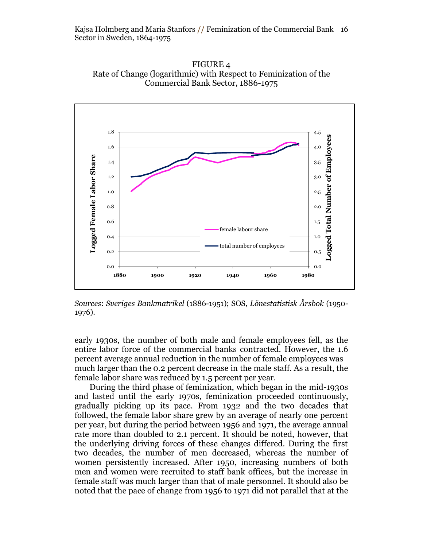



*Sources*: *Sveriges Bankmatrikel* (1886-1951); SOS, *Lönestatistisk Årsbok* (1950- 1976).

early 1930s, the number of both male and female employees fell, as the entire labor force of the commercial banks contracted. However, the 1.6 percent average annual reduction in the number of female employees was much larger than the 0.2 percent decrease in the male staff. As a result, the female labor share was reduced by 1.5 percent per year.

During the third phase of feminization, which began in the mid-1930s and lasted until the early 1970s, feminization proceeded continuously, gradually picking up its pace. From 1932 and the two decades that followed, the female labor share grew by an average of nearly one percent per year, but during the period between 1956 and 1971, the average annual rate more than doubled to 2.1 percent. It should be noted, however, that the underlying driving forces of these changes differed. During the first two decades, the number of men decreased, whereas the number of women persistently increased. After 1950, increasing numbers of both men and women were recruited to staff bank offices, but the increase in female staff was much larger than that of male personnel. It should also be noted that the pace of change from 1956 to 1971 did not parallel that at the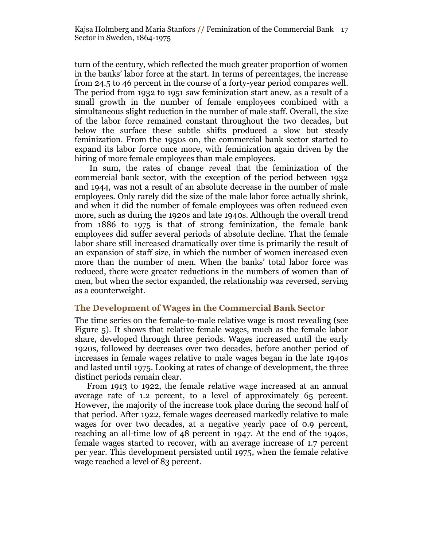turn of the century, which reflected the much greater proportion of women in the banks' labor force at the start. In terms of percentages, the increase from 24.5 to 46 percent in the course of a forty-year period compares well. The period from 1932 to 1951 saw feminization start anew, as a result of a small growth in the number of female employees combined with a simultaneous slight reduction in the number of male staff. Overall, the size of the labor force remained constant throughout the two decades, but below the surface these subtle shifts produced a slow but steady feminization. From the 1950s on, the commercial bank sector started to expand its labor force once more, with feminization again driven by the hiring of more female employees than male employees.

In sum, the rates of change reveal that the feminization of the commercial bank sector, with the exception of the period between 1932 and 1944, was not a result of an absolute decrease in the number of male employees. Only rarely did the size of the male labor force actually shrink, and when it did the number of female employees was often reduced even more, such as during the 1920s and late 1940s. Although the overall trend from 1886 to 1975 is that of strong feminization, the female bank employees did suffer several periods of absolute decline. That the female labor share still increased dramatically over time is primarily the result of an expansion of staff size, in which the number of women increased even more than the number of men. When the banks' total labor force was reduced, there were greater reductions in the numbers of women than of men, but when the sector expanded, the relationship was reversed, serving as a counterweight.

## **The Development of Wages in the Commercial Bank Sector**

The time series on the female-to-male relative wage is most revealing (see Figure 5). It shows that relative female wages, much as the female labor share, developed through three periods. Wages increased until the early 1920s, followed by decreases over two decades, before another period of increases in female wages relative to male wages began in the late 1940s and lasted until 1975. Looking at rates of change of development, the three distinct periods remain clear.

From 1913 to 1922, the female relative wage increased at an annual average rate of 1.2 percent, to a level of approximately 65 percent. However, the majority of the increase took place during the second half of that period. After 1922, female wages decreased markedly relative to male wages for over two decades, at a negative yearly pace of 0.9 percent, reaching an all-time low of 48 percent in 1947. At the end of the 1940s, female wages started to recover, with an average increase of 1.7 percent per year. This development persisted until 1975, when the female relative wage reached a level of 83 percent.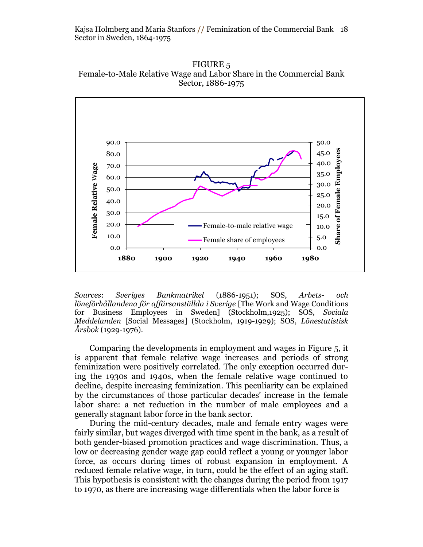FIGURE 5 Female-to-Male Relative Wage and Labor Share in the Commercial Bank Sector, 1886-1975



*Sources*: *Sveriges Bankmatrikel* (1886-1951); SOS, *Arbets- och löneförhållandena för affärsanställda i Sverige* [The Work and Wage Conditions for Business Employees in Sweden] (Stockholm,1925); SOS, *Sociala Meddelanden* [Social Messages] (Stockholm, 1919-1929); SOS, *Lönestatistisk Årsbok* (1929-1976).

Comparing the developments in employment and wages in Figure 5, it is apparent that female relative wage increases and periods of strong feminization were positively correlated. The only exception occurred during the 1930s and 1940s, when the female relative wage continued to decline, despite increasing feminization. This peculiarity can be explained by the circumstances of those particular decades' increase in the female labor share: a net reduction in the number of male employees and a generally stagnant labor force in the bank sector.

During the mid-century decades, male and female entry wages were fairly similar, but wages diverged with time spent in the bank, as a result of both gender-biased promotion practices and wage discrimination. Thus, a low or decreasing gender wage gap could reflect a young or younger labor force, as occurs during times of robust expansion in employment. A reduced female relative wage, in turn, could be the effect of an aging staff. This hypothesis is consistent with the changes during the period from 1917 to 1970, as there are increasing wage differentials when the labor force is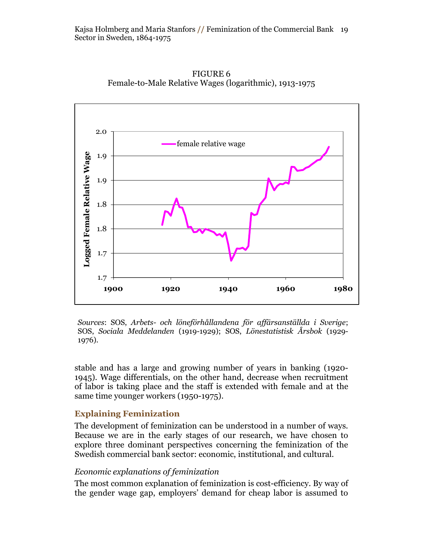

FIGURE 6 Female-to-Male Relative Wages (logarithmic), 1913-1975

*Sources*: SOS, *Arbets- och löneförhållandena för affärsanställda i Sverige*; SOS, *Sociala Meddelanden* (1919-1929); SOS, *Lönestatistisk Årsbok* (1929- 1976).

stable and has a large and growing number of years in banking (1920- 1945). Wage differentials, on the other hand, decrease when recruitment of labor is taking place and the staff is extended with female and at the same time younger workers (1950-1975).

## **Explaining Feminization**

The development of feminization can be understood in a number of ways. Because we are in the early stages of our research, we have chosen to explore three dominant perspectives concerning the feminization of the Swedish commercial bank sector: economic, institutional, and cultural.

## *Economic explanations of feminization*

The most common explanation of feminization is cost-efficiency. By way of the gender wage gap, employers' demand for cheap labor is assumed to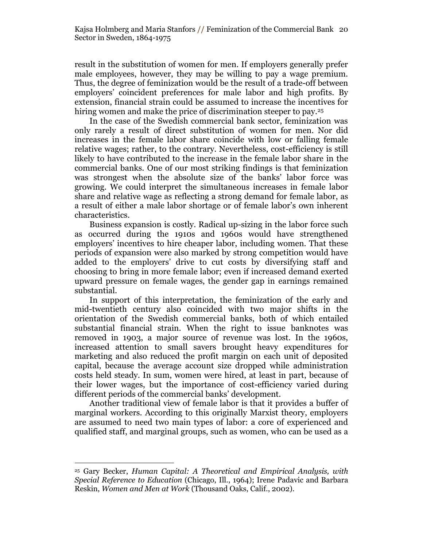result in the substitution of women for men. If employers generally prefer male employees, however, they may be willing to pay a wage premium. Thus, the degree of feminization would be the result of a trade-off between employers' coincident preferences for male labor and high profits. By extension, financial strain could be assumed to increase the incentives for hiring women and make the price of discrimination steeper to pay.<sup>25</sup>

In the case of the Swedish commercial bank sector, feminization was only rarely a result of direct substitution of women for men. Nor did increases in the female labor share coincide with low or falling female relative wages; rather, to the contrary. Nevertheless, cost-efficiency is still likely to have contributed to the increase in the female labor share in the commercial banks. One of our most striking findings is that feminization was strongest when the absolute size of the banks' labor force was growing. We could interpret the simultaneous increases in female labor share and relative wage as reflecting a strong demand for female labor, as a result of either a male labor shortage or of female labor's own inherent characteristics.

Business expansion is costly. Radical up-sizing in the labor force such as occurred during the 1910s and 1960s would have strengthened employers' incentives to hire cheaper labor, including women. That these periods of expansion were also marked by strong competition would have added to the employers' drive to cut costs by diversifying staff and choosing to bring in more female labor; even if increased demand exerted upward pressure on female wages, the gender gap in earnings remained substantial.

In support of this interpretation, the feminization of the early and mid-twentieth century also coincided with two major shifts in the orientation of the Swedish commercial banks, both of which entailed substantial financial strain. When the right to issue banknotes was removed in 1903, a major source of revenue was lost. In the 1960s, increased attention to small savers brought heavy expenditures for marketing and also reduced the profit margin on each unit of deposited capital, because the average account size dropped while administration costs held steady. In sum, women were hired, at least in part, because of their lower wages, but the importance of cost-efficiency varied during different periods of the commercial banks' development.

Another traditional view of female labor is that it provides a buffer of marginal workers. According to this originally Marxist theory, employers are assumed to need two main types of labor: a core of experienced and qualified staff, and marginal groups, such as women, who can be used as a

<sup>25</sup> Gary Becker, *Human Capital: A Theoretical and Empirical Analysis, with Special Reference to Education* (Chicago, Ill., 1964); Irene Padavic and Barbara Reskin, *Women and Men at Work* (Thousand Oaks, Calif., 2002).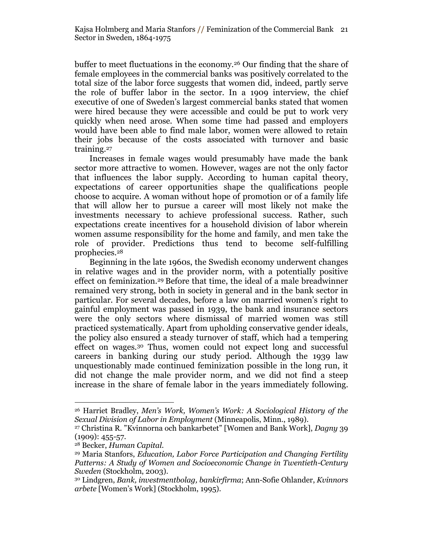buffer to meet fluctuations in the economy.<sup>26</sup> Our finding that the share of female employees in the commercial banks was positively correlated to the total size of the labor force suggests that women did, indeed, partly serve the role of buffer labor in the sector. In a 1909 interview, the chief executive of one of Sweden's largest commercial banks stated that women were hired because they were accessible and could be put to work very quickly when need arose. When some time had passed and employers would have been able to find male labor, women were allowed to retain their jobs because of the costs associated with turnover and basic training.<sup>27</sup>

Increases in female wages would presumably have made the bank sector more attractive to women. However, wages are not the only factor that influences the labor supply. According to human capital theory, expectations of career opportunities shape the qualifications people choose to acquire. A woman without hope of promotion or of a family life that will allow her to pursue a career will most likely not make the investments necessary to achieve professional success. Rather, such expectations create incentives for a household division of labor wherein women assume responsibility for the home and family, and men take the role of provider. Predictions thus tend to become self-fulfilling prophecies.<sup>28</sup>

Beginning in the late 1960s, the Swedish economy underwent changes in relative wages and in the provider norm, with a potentially positive effect on feminization.<sup>29</sup> Before that time, the ideal of a male breadwinner remained very strong, both in society in general and in the bank sector in particular. For several decades, before a law on married women's right to gainful employment was passed in 1939, the bank and insurance sectors were the only sectors where dismissal of married women was still practiced systematically. Apart from upholding conservative gender ideals, the policy also ensured a steady turnover of staff, which had a tempering effect on wages.<sup>30</sup> Thus, women could not expect long and successful careers in banking during our study period. Although the 1939 law unquestionably made continued feminization possible in the long run, it did not change the male provider norm, and we did not find a steep increase in the share of female labor in the years immediately following.

 $\overline{a}$ <sup>26</sup> Harriet Bradley, *Men's Work, Women's Work: A Sociological History of the Sexual Division of Labor in Employment* (Minneapolis, Minn., 1989).

<sup>27</sup> Christina R. ‖Kvinnorna och bankarbetet‖ [Women and Bank Work], *Dagny* 39 (1909): 455-57.

<sup>28</sup> Becker, *Human Capital*.

<sup>29</sup> Maria Stanfors, *Education, Labor Force Participation and Changing Fertility Patterns: A Study of Women and Socioeconomic Change in Twentieth-Century Sweden* (Stockholm, 2003).

<sup>30</sup> Lindgren, *Bank, investmentbolag, bankirfirma*; Ann-Sofie Ohlander, *Kvinnors arbete* [Women's Work] (Stockholm, 1995).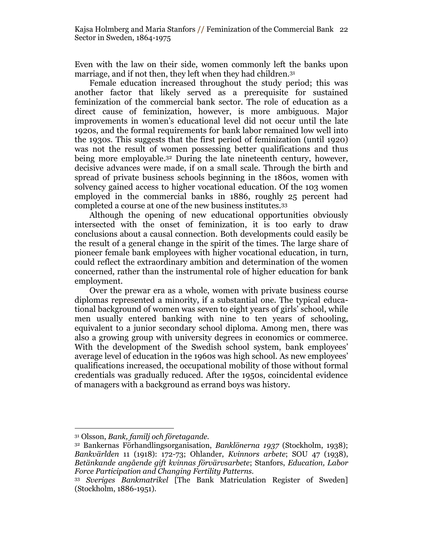Even with the law on their side, women commonly left the banks upon marriage, and if not then, they left when they had children.<sup>31</sup>

Female education increased throughout the study period; this was another factor that likely served as a prerequisite for sustained feminization of the commercial bank sector. The role of education as a direct cause of feminization, however, is more ambiguous. Major improvements in women's educational level did not occur until the late 1920s, and the formal requirements for bank labor remained low well into the 1930s. This suggests that the first period of feminization (until 1920) was not the result of women possessing better qualifications and thus being more employable. <sup>32</sup> During the late nineteenth century, however, decisive advances were made, if on a small scale. Through the birth and spread of private business schools beginning in the 1860s, women with solvency gained access to higher vocational education. Of the 103 women employed in the commercial banks in 1886, roughly 25 percent had completed a course at one of the new business institutes.<sup>33</sup>

Although the opening of new educational opportunities obviously intersected with the onset of feminization, it is too early to draw conclusions about a causal connection. Both developments could easily be the result of a general change in the spirit of the times. The large share of pioneer female bank employees with higher vocational education, in turn, could reflect the extraordinary ambition and determination of the women concerned, rather than the instrumental role of higher education for bank employment.

Over the prewar era as a whole, women with private business course diplomas represented a minority, if a substantial one. The typical educational background of women was seven to eight years of girls' school, while men usually entered banking with nine to ten years of schooling, equivalent to a junior secondary school diploma. Among men, there was also a growing group with university degrees in economics or commerce. With the development of the Swedish school system, bank employees' average level of education in the 1960s was high school. As new employees' qualifications increased, the occupational mobility of those without formal credentials was gradually reduced. After the 1950s, coincidental evidence of managers with a background as errand boys was history.

 $\overline{a}$ <sup>31</sup> Olsson, *Bank, familj och företagande.*

<sup>32</sup> Bankernas Förhandlingsorganisation, *Banklönerna 1937* (Stockholm, 1938); *Bankvärlden* 11 (1918): 172-73; Ohlander, *Kvinnors arbete*; SOU 47 (1938), *Betänkande angående gift kvinnas förvärvsarbete*; Stanfors, *Education, Labor Force Participation and Changing Fertility Patterns.*

<sup>33</sup> *Sveriges Bankmatrikel* [The Bank Matriculation Register of Sweden] (Stockholm, 1886-1951).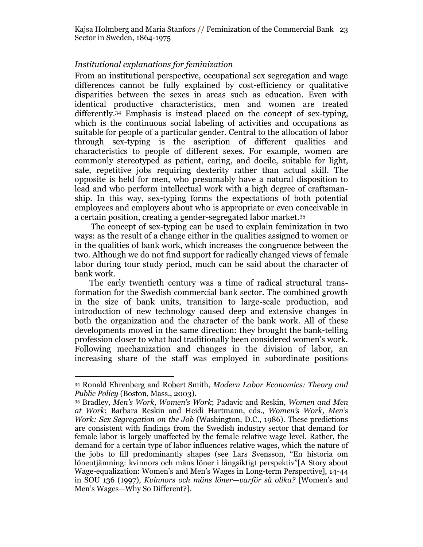## *Institutional explanations for feminization*

From an institutional perspective, occupational sex segregation and wage differences cannot be fully explained by cost-efficiency or qualitative disparities between the sexes in areas such as education. Even with identical productive characteristics, men and women are treated differently.<sup>34</sup> Emphasis is instead placed on the concept of sex-typing, which is the continuous social labeling of activities and occupations as suitable for people of a particular gender. Central to the allocation of labor through sex-typing is the ascription of different qualities and characteristics to people of different sexes. For example, women are commonly stereotyped as patient, caring, and docile, suitable for light, safe, repetitive jobs requiring dexterity rather than actual skill. The opposite is held for men, who presumably have a natural disposition to lead and who perform intellectual work with a high degree of craftsmanship. In this way, sex-typing forms the expectations of both potential employees and employers about who is appropriate or even conceivable in a certain position, creating a gender-segregated labor market. 35

The concept of sex-typing can be used to explain feminization in two ways: as the result of a change either in the qualities assigned to women or in the qualities of bank work, which increases the congruence between the two. Although we do not find support for radically changed views of female labor during tour study period, much can be said about the character of bank work.

The early twentieth century was a time of radical structural transformation for the Swedish commercial bank sector. The combined growth in the size of bank units, transition to large-scale production, and introduction of new technology caused deep and extensive changes in both the organization and the character of the bank work. All of these developments moved in the same direction: they brought the bank-telling profession closer to what had traditionally been considered women's work. Following mechanization and changes in the division of labor, an increasing share of the staff was employed in subordinate positions

 $\overline{a}$ <sup>34</sup> Ronald Ehrenberg and Robert Smith, *Modern Labor Economics: Theory and Public Policy* (Boston, Mass., 2003).

<sup>35</sup> Bradley, *Men's Work, Women's Work*; Padavic and Reskin, *Women and Men at Work*; Barbara Reskin and Heidi Hartmann, eds., *Women's Work, Men's Work: Sex Segregation on the Job* (Washington, D.C., 1986)*.* These predictions are consistent with findings from the Swedish industry sector that demand for female labor is largely unaffected by the female relative wage level. Rather, the demand for a certain type of labor influences relative wages, which the nature of the jobs to fill predominantly shapes (see Lars Svensson, "En historia om löneutjämning: kvinnors och mäns löner i långsiktigt perspektiv"[A Story about Wage-equalization: Women's and Men's Wages in Long-term Perspective], 14-44 in SOU 136 (1997), *Kvinnors och mäns löner*—*varför så olika?* [Women's and Men's Wages—Why So Different?].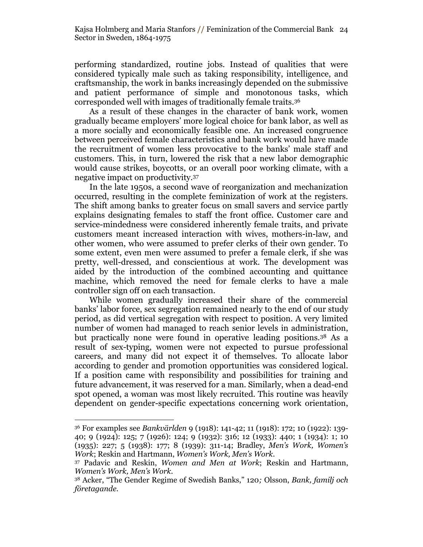performing standardized, routine jobs. Instead of qualities that were considered typically male such as taking responsibility, intelligence, and craftsmanship, the work in banks increasingly depended on the submissive and patient performance of simple and monotonous tasks, which corresponded well with images of traditionally female traits.<sup>36</sup>

As a result of these changes in the character of bank work, women gradually became employers' more logical choice for bank labor, as well as a more socially and economically feasible one. An increased congruence between perceived female characteristics and bank work would have made the recruitment of women less provocative to the banks' male staff and customers. This, in turn, lowered the risk that a new labor demographic would cause strikes, boycotts, or an overall poor working climate, with a negative impact on productivity.<sup>37</sup>

In the late 1950s, a second wave of reorganization and mechanization occurred, resulting in the complete feminization of work at the registers. The shift among banks to greater focus on small savers and service partly explains designating females to staff the front office. Customer care and service-mindedness were considered inherently female traits, and private customers meant increased interaction with wives, mothers-in-law, and other women, who were assumed to prefer clerks of their own gender. To some extent, even men were assumed to prefer a female clerk, if she was pretty, well-dressed, and conscientious at work. The development was aided by the introduction of the combined accounting and quittance machine, which removed the need for female clerks to have a male controller sign off on each transaction.

While women gradually increased their share of the commercial banks' labor force, sex segregation remained nearly to the end of our study period, as did vertical segregation with respect to position. A very limited number of women had managed to reach senior levels in administration, but practically none were found in operative leading positions.<sup>38</sup> As a result of sex-typing, women were not expected to pursue professional careers, and many did not expect it of themselves. To allocate labor according to gender and promotion opportunities was considered logical. If a position came with responsibility and possibilities for training and future advancement, it was reserved for a man. Similarly, when a dead-end spot opened, a woman was most likely recruited. This routine was heavily dependent on gender-specific expectations concerning work orientation,

<sup>36</sup> For examples see *Bankvärlden* 9 (1918): 141-42; 11 (1918): 172; 10 (1922): 139- 40; 9 (1924): 125; 7 (1926): 124; 9 (1932): 316; 12 (1933): 440; 1 (1934): 1; 10 (1935): 227; 5 (1938): 177; 8 (1939): 311-14; Bradley, *Men's Work, Women's Work*; Reskin and Hartmann, *Women's Work, Men's Work*.

<sup>37</sup> Padavic and Reskin, *Women and Men at Work*; Reskin and Hartmann, *Women's Work, Men's Work.*

<sup>38</sup> Acker, ―The Gender Regime of Swedish Banks,‖ 120*;* Olsson, *Bank, familj och företagande.*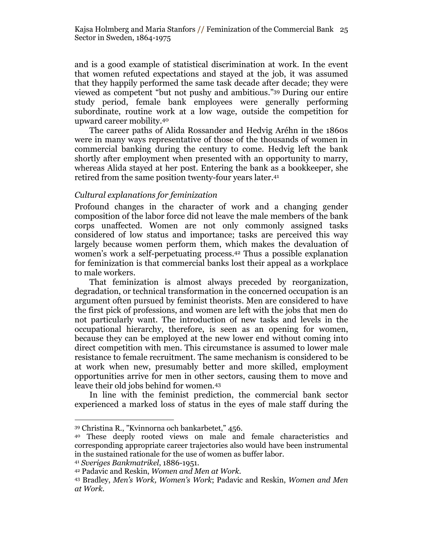and is a good example of statistical discrimination at work. In the event that women refuted expectations and stayed at the job, it was assumed that they happily performed the same task decade after decade; they were viewed as competent "but not pushy and ambitious."<sup>39</sup> During our entire study period, female bank employees were generally performing subordinate, routine work at a low wage, outside the competition for upward career mobility.<sup>40</sup>

The career paths of Alida Rossander and Hedvig Aréhn in the 1860s were in many ways representative of those of the thousands of women in commercial banking during the century to come. Hedvig left the bank shortly after employment when presented with an opportunity to marry, whereas Alida stayed at her post. Entering the bank as a bookkeeper, she retired from the same position twenty-four years later.<sup>41</sup>

#### *Cultural explanations for feminization*

Profound changes in the character of work and a changing gender composition of the labor force did not leave the male members of the bank corps unaffected. Women are not only commonly assigned tasks considered of low status and importance; tasks are perceived this way largely because women perform them, which makes the devaluation of women's work a self-perpetuating process.<sup>42</sup> Thus a possible explanation for feminization is that commercial banks lost their appeal as a workplace to male workers.

That feminization is almost always preceded by reorganization, degradation, or technical transformation in the concerned occupation is an argument often pursued by feminist theorists. Men are considered to have the first pick of professions, and women are left with the jobs that men do not particularly want. The introduction of new tasks and levels in the occupational hierarchy, therefore, is seen as an opening for women, because they can be employed at the new lower end without coming into direct competition with men. This circumstance is assumed to lower male resistance to female recruitment. The same mechanism is considered to be at work when new, presumably better and more skilled, employment opportunities arrive for men in other sectors, causing them to move and leave their old jobs behind for women.<sup>43</sup>

In line with the feminist prediction, the commercial bank sector experienced a marked loss of status in the eyes of male staff during the

<sup>39</sup> Christina R., "Kvinnorna och bankarbetet," 456.

<sup>40</sup> These deeply rooted views on male and female characteristics and corresponding appropriate career trajectories also would have been instrumental in the sustained rationale for the use of women as buffer labor.

<sup>41</sup> *Sveriges Bankmatrikel*, 1886-1951.

<sup>42</sup> Padavic and Reskin, *Women and Men at Work.*

<sup>43</sup> Bradley, *Men's Work, Women's Work*; Padavic and Reskin, *Women and Men at Work.*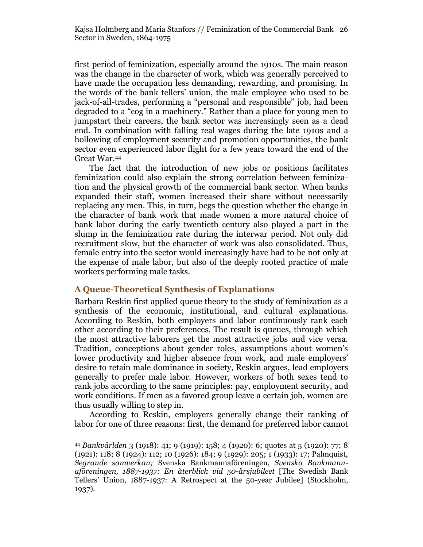first period of feminization, especially around the 1910s. The main reason was the change in the character of work, which was generally perceived to have made the occupation less demanding, rewarding, and promising. In the words of the bank tellers' union, the male employee who used to be jack-of-all-trades, performing a "personal and responsible" job, had been degraded to a "cog in a machinery." Rather than a place for young men to jumpstart their careers, the bank sector was increasingly seen as a dead end. In combination with falling real wages during the late 1910s and a hollowing of employment security and promotion opportunities, the bank sector even experienced labor flight for a few years toward the end of the Great War.<sup>44</sup>

The fact that the introduction of new jobs or positions facilitates feminization could also explain the strong correlation between feminization and the physical growth of the commercial bank sector. When banks expanded their staff, women increased their share without necessarily replacing any men. This, in turn, begs the question whether the change in the character of bank work that made women a more natural choice of bank labor during the early twentieth century also played a part in the slump in the feminization rate during the interwar period. Not only did recruitment slow, but the character of work was also consolidated. Thus, female entry into the sector would increasingly have had to be not only at the expense of male labor, but also of the deeply rooted practice of male workers performing male tasks.

## **A Queue-Theoretical Synthesis of Explanations**

 $\overline{a}$ 

Barbara Reskin first applied queue theory to the study of feminization as a synthesis of the economic, institutional, and cultural explanations. According to Reskin, both employers and labor continuously rank each other according to their preferences. The result is queues, through which the most attractive laborers get the most attractive jobs and vice versa. Tradition, conceptions about gender roles, assumptions about women's lower productivity and higher absence from work, and male employers' desire to retain male dominance in society, Reskin argues, lead employers generally to prefer male labor. However, workers of both sexes tend to rank jobs according to the same principles: pay, employment security, and work conditions. If men as a favored group leave a certain job, women are thus usually willing to step in.

According to Reskin, employers generally change their ranking of labor for one of three reasons: first, the demand for preferred labor cannot

<sup>44</sup> *Bankvärlden* 3 (1918): 41; 9 (1919): 158; 4 (1920): 6; quotes at 5 (1920): 77; 8 (1921): 118; 8 (1924): 112; 10 (1926): 184; 9 (1929): 205; 1 (1933): 17; Palmquist, *Segrande samverkan;* Svenska Bankmannaföreningen, *Svenska Bankmannaföreningen, 1887-1937: En återblick vid 50-årsjubileet* [The Swedish Bank Tellers' Union, 1887-1937: A Retrospect at the 50-year Jubilee] (Stockholm, 1937).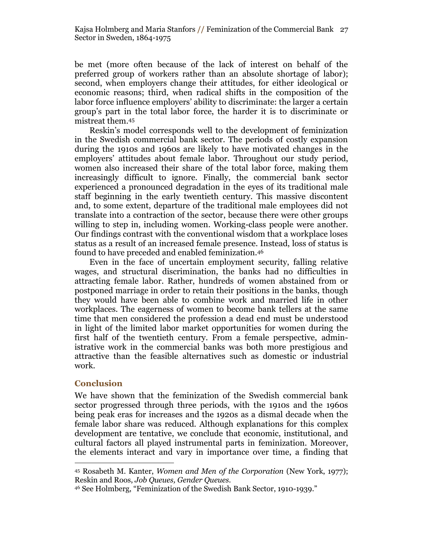be met (more often because of the lack of interest on behalf of the preferred group of workers rather than an absolute shortage of labor); second, when employers change their attitudes, for either ideological or economic reasons; third, when radical shifts in the composition of the labor force influence employers' ability to discriminate: the larger a certain group's part in the total labor force, the harder it is to discriminate or mistreat them. 45

Reskin's model corresponds well to the development of feminization in the Swedish commercial bank sector. The periods of costly expansion during the 1910s and 1960s are likely to have motivated changes in the employers' attitudes about female labor. Throughout our study period, women also increased their share of the total labor force, making them increasingly difficult to ignore. Finally, the commercial bank sector experienced a pronounced degradation in the eyes of its traditional male staff beginning in the early twentieth century. This massive discontent and, to some extent, departure of the traditional male employees did not translate into a contraction of the sector, because there were other groups willing to step in, including women. Working-class people were another. Our findings contrast with the conventional wisdom that a workplace loses status as a result of an increased female presence. Instead, loss of status is found to have preceded and enabled feminization.<sup>46</sup>

Even in the face of uncertain employment security, falling relative wages, and structural discrimination, the banks had no difficulties in attracting female labor. Rather, hundreds of women abstained from or postponed marriage in order to retain their positions in the banks, though they would have been able to combine work and married life in other workplaces. The eagerness of women to become bank tellers at the same time that men considered the profession a dead end must be understood in light of the limited labor market opportunities for women during the first half of the twentieth century. From a female perspective, administrative work in the commercial banks was both more prestigious and attractive than the feasible alternatives such as domestic or industrial work.

## **Conclusion**

 $\overline{a}$ 

We have shown that the feminization of the Swedish commercial bank sector progressed through three periods, with the 1910s and the 1960s being peak eras for increases and the 1920s as a dismal decade when the female labor share was reduced. Although explanations for this complex development are tentative, we conclude that economic, institutional, and cultural factors all played instrumental parts in feminization. Moreover, the elements interact and vary in importance over time, a finding that

<sup>45</sup> Rosabeth M. Kanter, *Women and Men of the Corporation* (New York, 1977); Reskin and Roos, *Job Queues, Gender Queues.*

<sup>&</sup>lt;sup>46</sup> See Holmberg, "Feminization of the Swedish Bank Sector, 1910-1939."